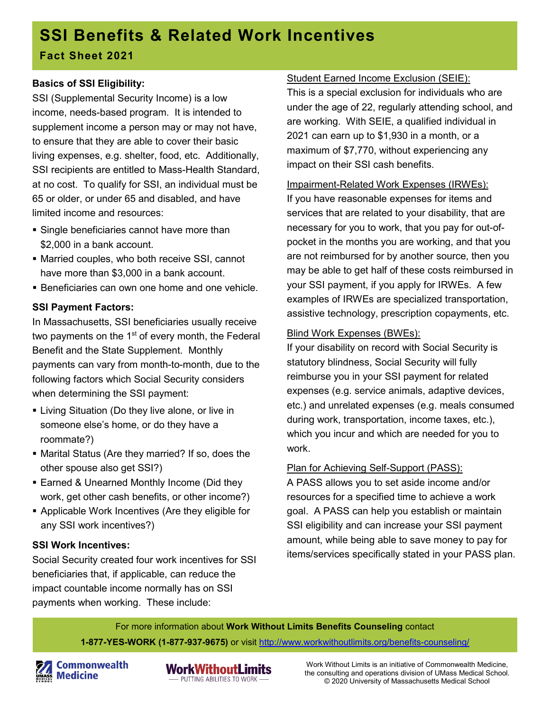# **SSI Benefits & Related Work Incentives**

**Fact Sheet 2021**

# **Basics of SSI Eligibility:**

SSI (Supplemental Security Income) is a low income, needs-based program. It is intended to supplement income a person may or may not have, to ensure that they are able to cover their basic living expenses, e.g. shelter, food, etc. Additionally, SSI recipients are entitled to Mass-Health Standard, at no cost. To qualify for SSI, an individual must be 65 or older, or under 65 and disabled, and have limited income and resources:

- **Single beneficiaries cannot have more than** \$2,000 in a bank account.
- Married couples, who both receive SSI, cannot have more than \$3,000 in a bank account.
- **Beneficiaries can own one home and one vehicle.**

## **SSI Payment Factors:**

In Massachusetts, SSI beneficiaries usually receive two payments on the  $1<sup>st</sup>$  of every month, the Federal Benefit and the State Supplement. Monthly payments can vary from month-to-month, due to the following factors which Social Security considers when determining the SSI payment:

- **EXT** Living Situation (Do they live alone, or live in someone else's home, or do they have a roommate?)
- Marital Status (Are they married? If so, does the other spouse also get SSI?)
- **Earned & Unearned Monthly Income (Did they** work, get other cash benefits, or other income?)
- Applicable Work Incentives (Are they eligible for any SSI work incentives?)

#### **SSI Work Incentives:**

Social Security created four work incentives for SSI beneficiaries that, if applicable, can reduce the impact countable income normally has on SSI payments when working. These include:

## Student Earned Income Exclusion (SEIE):

This is a special exclusion for individuals who are under the age of 22, regularly attending school, and are working. With SEIE, a qualified individual in 2021 can earn up to \$1,930 in a month, or a maximum of \$7,770, without experiencing any impact on their SSI cash benefits.

## Impairment-Related Work Expenses (IRWEs):

If you have reasonable expenses for items and services that are related to your disability, that are necessary for you to work, that you pay for out-ofpocket in the months you are working, and that you are not reimbursed for by another source, then you may be able to get half of these costs reimbursed in your SSI payment, if you apply for IRWEs. A few examples of IRWEs are specialized transportation, assistive technology, prescription copayments, etc.

## Blind Work Expenses (BWEs):

If your disability on record with Social Security is statutory blindness, Social Security will fully reimburse you in your SSI payment for related expenses (e.g. service animals, adaptive devices, etc.) and unrelated expenses (e.g. meals consumed during work, transportation, income taxes, etc.), which you incur and which are needed for you to work.

#### Plan for Achieving Self-Support (PASS):

A PASS allows you to set aside income and/or resources for a specified time to achieve a work goal. A PASS can help you establish or maintain SSI eligibility and can increase your SSI payment amount, while being able to save money to pay for items/services specifically stated in your PASS plan.

For more information about **Work Without Limits Benefits Counseling** contact **1-877-YES-WORK (1-877-937-9675)** or visit<http://www.workwithoutlimits.org/benefits-counseling/>

**Commonwealth WAARED Medicine** 

WorkWithoutLimits - PUTTING ABILITIES TO WORK -

Work Without Limits is an initiative of Commonwealth Medicine, the consulting and operations division of UMass Medical School. © 2020 University of Massachusetts Medical School